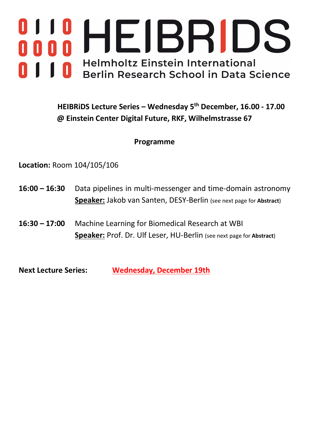# HEIBRIDS 0 **Helmholtz Einstein International** Berlin Research School in Data Science

## **HEIBRiDS Lecture Series – Wednesday 5th December, 16.00 - 17.00 @ Einstein Center Digital Future, RKF, Wilhelmstrasse 67**

## **Programme**

**Location:** Room 104/105/106

- **16:00 – 16:30** Data pipelines in multi-messenger and time-domain astronomy **Speaker:** Jakob van Santen, DESY-Berlin (see next page for **Abstract**)
- **16:30 – 17:00** Machine Learning for Biomedical Research at WBI **Speaker:** Prof. Dr. Ulf Leser, HU-Berlin (see next page for **Abstract**)

**Next Lecture Series: Wednesday, December 19th**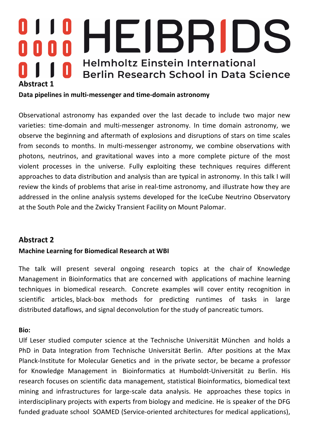# HEIBRID Π. **Helmholtz Einstein International** Berlin Research School in Data Science **Abstract 1**

#### **Data pipelines in multi-messenger and time-domain astronomy**

Observational astronomy has expanded over the last decade to include two major new varieties: time-domain and multi-messenger astronomy. In time domain astronomy, we observe the beginning and aftermath of explosions and disruptions of stars on time scales from seconds to months. In multi-messenger astronomy, we combine observations with photons, neutrinos, and gravitational waves into a more complete picture of the most violent processes in the universe. Fully exploiting these techniques requires different approaches to data distribution and analysis than are typical in astronomy. In this talk I will review the kinds of problems that arise in real-time astronomy, and illustrate how they are addressed in the online analysis systems developed for the IceCube Neutrino Observatory at the South Pole and the Zwicky Transient Facility on Mount Palomar.

### **Abstract 2**

#### **Machine Learning for Biomedical Research at WBI**

The talk will present several ongoing research topics at the chair of Knowledge Management in Bioinformatics that are concerned with applications of machine learning techniques in biomedical research. Concrete examples will cover entity recognition in scientific articles, black-box methods for predicting runtimes of tasks in large distributed dataflows, and signal deconvolution for the study of pancreatic tumors.

#### **Bio:**

Ulf Leser studied computer science at the Technische Universität München and holds a PhD in Data Integration from Technische Universität Berlin. After positions at the Max Planck-Institute for Molecular Genetics and in the private sector, be became a professor for Knowledge Management in Bioinformatics at Humboldt-Universität zu Berlin. His research focuses on scientific data management, statistical Bioinformatics, biomedical text mining and infrastructures for large-scale data analysis. He approaches these topics in interdisciplinary projects with experts from biology and medicine. He is speaker of the DFG funded graduate school SOAMED (Service-oriented architectures for medical applications),